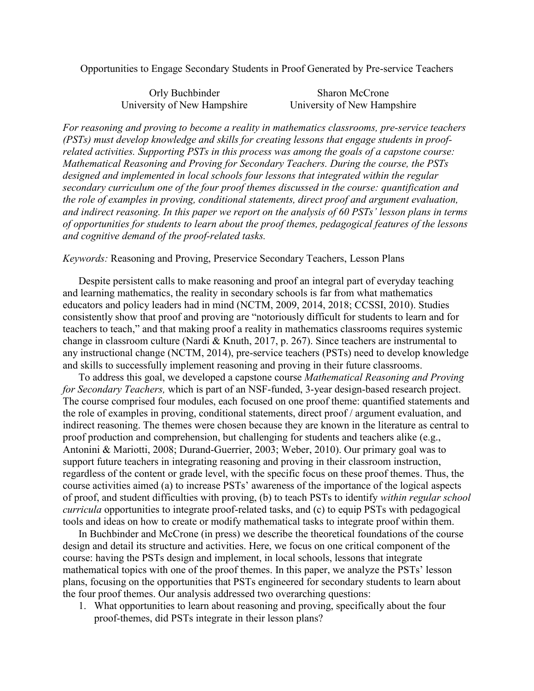Opportunities to Engage Secondary Students in Proof Generated by Pre-service Teachers

| Orly Buchbinder             |
|-----------------------------|
| University of New Hampshire |

Sharon McCrone University of New Hampshire

*For reasoning and proving to become a reality in mathematics classrooms, pre-service teachers (PSTs) must develop knowledge and skills for creating lessons that engage students in proofrelated activities. Supporting PSTs in this process was among the goals of a capstone course: Mathematical Reasoning and Proving for Secondary Teachers. During the course, the PSTs designed and implemented in local schools four lessons that integrated within the regular secondary curriculum one of the four proof themes discussed in the course: quantification and the role of examples in proving, conditional statements, direct proof and argument evaluation, and indirect reasoning. In this paper we report on the analysis of 60 PSTs' lesson plans in terms of opportunities for students to learn about the proof themes, pedagogical features of the lessons and cognitive demand of the proof-related tasks.*

## *Keywords:* Reasoning and Proving, Preservice Secondary Teachers, Lesson Plans

Despite persistent calls to make reasoning and proof an integral part of everyday teaching and learning mathematics, the reality in secondary schools is far from what mathematics educators and policy leaders had in mind (NCTM, 2009, 2014, 2018; CCSSI, 2010). Studies consistently show that proof and proving are "notoriously difficult for students to learn and for teachers to teach," and that making proof a reality in mathematics classrooms requires systemic change in classroom culture (Nardi & Knuth, 2017, p. 267). Since teachers are instrumental to any instructional change (NCTM, 2014), pre-service teachers (PSTs) need to develop knowledge and skills to successfully implement reasoning and proving in their future classrooms.

To address this goal, we developed a capstone course *Mathematical Reasoning and Proving for Secondary Teachers,* which is part of an NSF-funded, 3-year design-based research project. The course comprised four modules, each focused on one proof theme: quantified statements and the role of examples in proving, conditional statements, direct proof / argument evaluation, and indirect reasoning. The themes were chosen because they are known in the literature as central to proof production and comprehension, but challenging for students and teachers alike (e.g., Antonini & Mariotti, 2008; Durand-Guerrier, 2003; Weber, 2010). Our primary goal was to support future teachers in integrating reasoning and proving in their classroom instruction, regardless of the content or grade level, with the specific focus on these proof themes. Thus, the course activities aimed (a) to increase PSTs' awareness of the importance of the logical aspects of proof, and student difficulties with proving, (b) to teach PSTs to identify *within regular school curricula* opportunities to integrate proof-related tasks, and (c) to equip PSTs with pedagogical tools and ideas on how to create or modify mathematical tasks to integrate proof within them.

In Buchbinder and McCrone (in press) we describe the theoretical foundations of the course design and detail its structure and activities. Here, we focus on one critical component of the course: having the PSTs design and implement, in local schools, lessons that integrate mathematical topics with one of the proof themes. In this paper, we analyze the PSTs' lesson plans, focusing on the opportunities that PSTs engineered for secondary students to learn about the four proof themes. Our analysis addressed two overarching questions:

1. What opportunities to learn about reasoning and proving, specifically about the four proof-themes, did PSTs integrate in their lesson plans?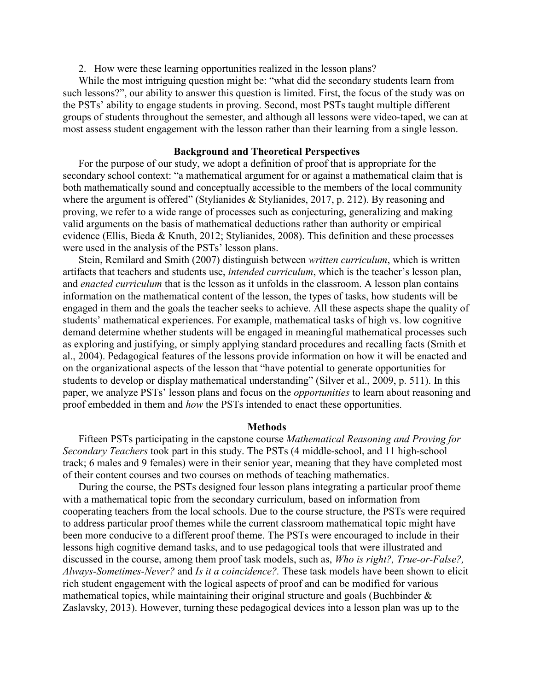2. How were these learning opportunities realized in the lesson plans?

While the most intriguing question might be: "what did the secondary students learn from such lessons?", our ability to answer this question is limited. First, the focus of the study was on the PSTs' ability to engage students in proving. Second, most PSTs taught multiple different groups of students throughout the semester, and although all lessons were video-taped, we can at most assess student engagement with the lesson rather than their learning from a single lesson.

#### **Background and Theoretical Perspectives**

For the purpose of our study, we adopt a definition of proof that is appropriate for the secondary school context: "a mathematical argument for or against a mathematical claim that is both mathematically sound and conceptually accessible to the members of the local community where the argument is offered" (Stylianides & Stylianides, 2017, p. 212). By reasoning and proving, we refer to a wide range of processes such as conjecturing, generalizing and making valid arguments on the basis of mathematical deductions rather than authority or empirical evidence (Ellis, Bieda & Knuth, 2012; Stylianides, 2008). This definition and these processes were used in the analysis of the PSTs' lesson plans.

Stein, Remilard and Smith (2007) distinguish between *written curriculum*, which is written artifacts that teachers and students use, *intended curriculum*, which is the teacher's lesson plan, and *enacted curriculum* that is the lesson as it unfolds in the classroom. A lesson plan contains information on the mathematical content of the lesson, the types of tasks, how students will be engaged in them and the goals the teacher seeks to achieve. All these aspects shape the quality of students' mathematical experiences. For example, mathematical tasks of high vs. low cognitive demand determine whether students will be engaged in meaningful mathematical processes such as exploring and justifying, or simply applying standard procedures and recalling facts (Smith et al., 2004). Pedagogical features of the lessons provide information on how it will be enacted and on the organizational aspects of the lesson that "have potential to generate opportunities for students to develop or display mathematical understanding" (Silver et al., 2009, p. 511). In this paper, we analyze PSTs' lesson plans and focus on the *opportunities* to learn about reasoning and proof embedded in them and *how* the PSTs intended to enact these opportunities.

## **Methods**

Fifteen PSTs participating in the capstone course *Mathematical Reasoning and Proving for Secondary Teachers* took part in this study. The PSTs (4 middle-school, and 11 high-school track; 6 males and 9 females) were in their senior year, meaning that they have completed most of their content courses and two courses on methods of teaching mathematics.

During the course, the PSTs designed four lesson plans integrating a particular proof theme with a mathematical topic from the secondary curriculum, based on information from cooperating teachers from the local schools. Due to the course structure, the PSTs were required to address particular proof themes while the current classroom mathematical topic might have been more conducive to a different proof theme. The PSTs were encouraged to include in their lessons high cognitive demand tasks, and to use pedagogical tools that were illustrated and discussed in the course, among them proof task models, such as, *Who is right?, True-or-False?, Always-Sometimes-Never?* and *Is it a coincidence?.* These task models have been shown to elicit rich student engagement with the logical aspects of proof and can be modified for various mathematical topics, while maintaining their original structure and goals (Buchbinder & Zaslavsky, 2013). However, turning these pedagogical devices into a lesson plan was up to the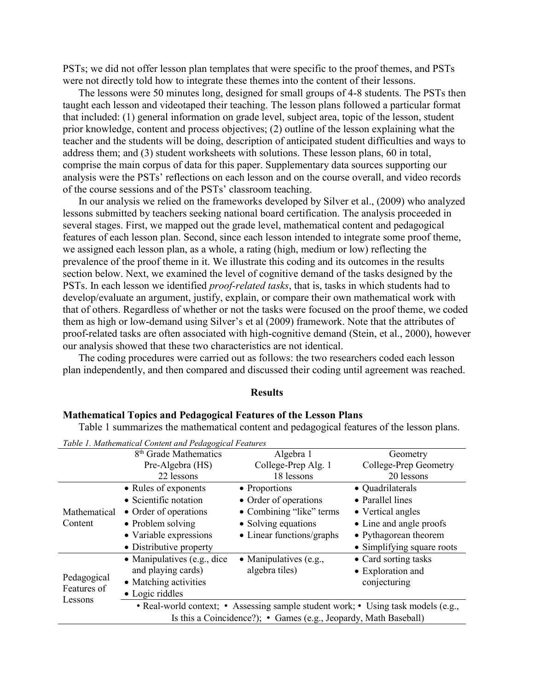PSTs; we did not offer lesson plan templates that were specific to the proof themes, and PSTs were not directly told how to integrate these themes into the content of their lessons.

The lessons were 50 minutes long, designed for small groups of 4-8 students. The PSTs then taught each lesson and videotaped their teaching. The lesson plans followed a particular format that included: (1) general information on grade level, subject area, topic of the lesson, student prior knowledge, content and process objectives; (2) outline of the lesson explaining what the teacher and the students will be doing, description of anticipated student difficulties and ways to address them; and (3) student worksheets with solutions. These lesson plans, 60 in total, comprise the main corpus of data for this paper. Supplementary data sources supporting our analysis were the PSTs' reflections on each lesson and on the course overall, and video records of the course sessions and of the PSTs' classroom teaching.

In our analysis we relied on the frameworks developed by Silver et al., (2009) who analyzed lessons submitted by teachers seeking national board certification. The analysis proceeded in several stages. First, we mapped out the grade level, mathematical content and pedagogical features of each lesson plan. Second, since each lesson intended to integrate some proof theme, we assigned each lesson plan, as a whole, a rating (high, medium or low) reflecting the prevalence of the proof theme in it. We illustrate this coding and its outcomes in the results section below. Next, we examined the level of cognitive demand of the tasks designed by the PSTs. In each lesson we identified *proof-related tasks*, that is, tasks in which students had to develop/evaluate an argument, justify, explain, or compare their own mathematical work with that of others. Regardless of whether or not the tasks were focused on the proof theme, we coded them as high or low-demand using Silver's et al (2009) framework. Note that the attributes of proof-related tasks are often associated with high-cognitive demand (Stein, et al., 2000), however our analysis showed that these two characteristics are not identical.

The coding procedures were carried out as follows: the two researchers coded each lesson plan independently, and then compared and discussed their coding until agreement was reached.

#### **Results**

### **Mathematical Topics and Pedagogical Features of the Lesson Plans**

Table 1 summarizes the mathematical content and pedagogical features of the lesson plans.

| Tubic 1. mamemancui Content and I caugogical Features |                                                                                   |                                                |                            |  |  |  |  |  |
|-------------------------------------------------------|-----------------------------------------------------------------------------------|------------------------------------------------|----------------------------|--|--|--|--|--|
| 8 <sup>th</sup> Grade Mathematics                     |                                                                                   | Algebra 1                                      | Geometry                   |  |  |  |  |  |
| Pre-Algebra (HS)                                      |                                                                                   | College-Prep Alg. 1                            | College-Prep Geometry      |  |  |  |  |  |
|                                                       | 22 lessons                                                                        | 18 lessons                                     | 20 lessons                 |  |  |  |  |  |
| Mathematical<br>Content                               | • Rules of exponents                                                              | • Proportions                                  | • Quadrilaterals           |  |  |  |  |  |
|                                                       | • Scientific notation                                                             | • Order of operations                          | • Parallel lines           |  |  |  |  |  |
|                                                       | • Order of operations                                                             | • Combining "like" terms                       | • Vertical angles          |  |  |  |  |  |
|                                                       | • Problem solving                                                                 | • Solving equations<br>• Line and angle proofs |                            |  |  |  |  |  |
|                                                       | • Variable expressions                                                            | • Linear functions/graphs                      | • Pythagorean theorem      |  |  |  |  |  |
|                                                       | • Distributive property                                                           |                                                | • Simplifying square roots |  |  |  |  |  |
| Pedagogical<br>Features of<br>Lessons                 | • Manipulatives (e.g., dice                                                       | • Manipulatives (e.g.,                         | • Card sorting tasks       |  |  |  |  |  |
|                                                       | and playing cards)                                                                | algebra tiles)                                 | • Exploration and          |  |  |  |  |  |
|                                                       | • Matching activities                                                             |                                                | conjecturing               |  |  |  |  |  |
|                                                       | • Logic riddles                                                                   |                                                |                            |  |  |  |  |  |
|                                                       | • Real-world context; • Assessing sample student work; • Using task models (e.g., |                                                |                            |  |  |  |  |  |
|                                                       | Is this a Coincidence?); • Games (e.g., Jeopardy, Math Baseball)                  |                                                |                            |  |  |  |  |  |

*Table 1. Mathematical Content and Pedagogical Features*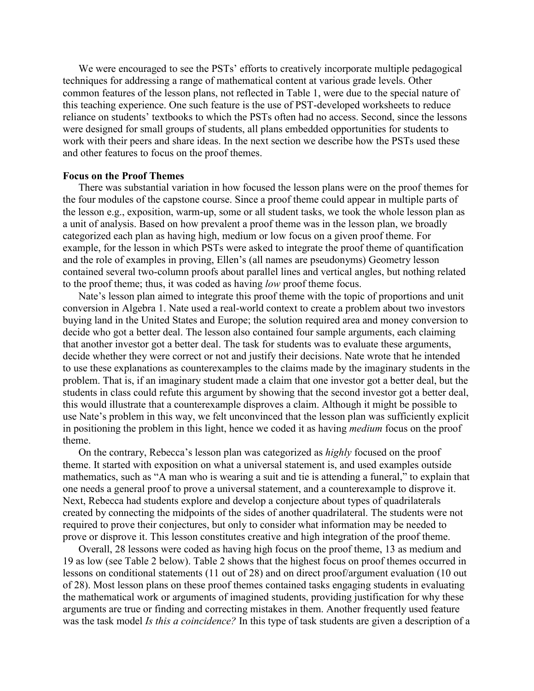We were encouraged to see the PSTs' efforts to creatively incorporate multiple pedagogical techniques for addressing a range of mathematical content at various grade levels. Other common features of the lesson plans, not reflected in Table 1, were due to the special nature of this teaching experience. One such feature is the use of PST-developed worksheets to reduce reliance on students' textbooks to which the PSTs often had no access. Second, since the lessons were designed for small groups of students, all plans embedded opportunities for students to work with their peers and share ideas. In the next section we describe how the PSTs used these and other features to focus on the proof themes.

## **Focus on the Proof Themes**

There was substantial variation in how focused the lesson plans were on the proof themes for the four modules of the capstone course. Since a proof theme could appear in multiple parts of the lesson e.g., exposition, warm-up, some or all student tasks, we took the whole lesson plan as a unit of analysis. Based on how prevalent a proof theme was in the lesson plan, we broadly categorized each plan as having high, medium or low focus on a given proof theme. For example, for the lesson in which PSTs were asked to integrate the proof theme of quantification and the role of examples in proving, Ellen's (all names are pseudonyms) Geometry lesson contained several two-column proofs about parallel lines and vertical angles, but nothing related to the proof theme; thus, it was coded as having *low* proof theme focus.

Nate's lesson plan aimed to integrate this proof theme with the topic of proportions and unit conversion in Algebra 1. Nate used a real-world context to create a problem about two investors buying land in the United States and Europe; the solution required area and money conversion to decide who got a better deal. The lesson also contained four sample arguments, each claiming that another investor got a better deal. The task for students was to evaluate these arguments, decide whether they were correct or not and justify their decisions. Nate wrote that he intended to use these explanations as counterexamples to the claims made by the imaginary students in the problem. That is, if an imaginary student made a claim that one investor got a better deal, but the students in class could refute this argument by showing that the second investor got a better deal, this would illustrate that a counterexample disproves a claim. Although it might be possible to use Nate's problem in this way, we felt unconvinced that the lesson plan was sufficiently explicit in positioning the problem in this light, hence we coded it as having *medium* focus on the proof theme.

On the contrary, Rebecca's lesson plan was categorized as *highly* focused on the proof theme. It started with exposition on what a universal statement is, and used examples outside mathematics, such as "A man who is wearing a suit and tie is attending a funeral," to explain that one needs a general proof to prove a universal statement, and a counterexample to disprove it. Next, Rebecca had students explore and develop a conjecture about types of quadrilaterals created by connecting the midpoints of the sides of another quadrilateral. The students were not required to prove their conjectures, but only to consider what information may be needed to prove or disprove it. This lesson constitutes creative and high integration of the proof theme.

Overall, 28 lessons were coded as having high focus on the proof theme, 13 as medium and 19 as low (see Table 2 below). Table 2 shows that the highest focus on proof themes occurred in lessons on conditional statements (11 out of 28) and on direct proof/argument evaluation (10 out of 28). Most lesson plans on these proof themes contained tasks engaging students in evaluating the mathematical work or arguments of imagined students, providing justification for why these arguments are true or finding and correcting mistakes in them. Another frequently used feature was the task model *Is this a coincidence?* In this type of task students are given a description of a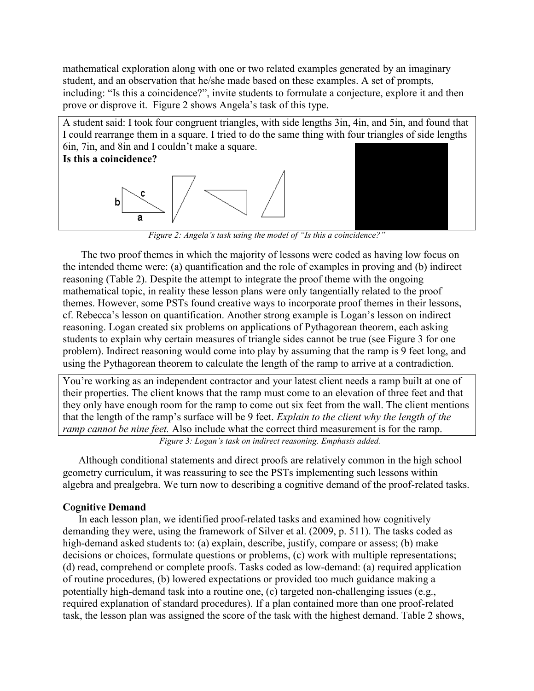mathematical exploration along with one or two related examples generated by an imaginary student, and an observation that he/she made based on these examples. A set of prompts, including: "Is this a coincidence?", invite students to formulate a conjecture, explore it and then prove or disprove it. Figure 2 shows Angela's task of this type.



*Figure 2: Angela's task using the model of "Is this a coincidence?"* 

The two proof themes in which the majority of lessons were coded as having low focus on the intended theme were: (a) quantification and the role of examples in proving and (b) indirect reasoning (Table 2). Despite the attempt to integrate the proof theme with the ongoing mathematical topic, in reality these lesson plans were only tangentially related to the proof themes. However, some PSTs found creative ways to incorporate proof themes in their lessons, cf. Rebecca's lesson on quantification. Another strong example is Logan's lesson on indirect reasoning. Logan created six problems on applications of Pythagorean theorem, each asking students to explain why certain measures of triangle sides cannot be true (see Figure 3 for one problem). Indirect reasoning would come into play by assuming that the ramp is 9 feet long, and using the Pythagorean theorem to calculate the length of the ramp to arrive at a contradiction.

You're working as an independent contractor and your latest client needs a ramp built at one of their properties. The client knows that the ramp must come to an elevation of three feet and that they only have enough room for the ramp to come out six feet from the wall. The client mentions that the length of the ramp's surface will be 9 feet. *Explain to the client why the length of the ramp cannot be nine feet.* Also include what the correct third measurement is for the ramp.

 *Figure 3: Logan's task on indirect reasoning. Emphasis added.* 

Although conditional statements and direct proofs are relatively common in the high school geometry curriculum, it was reassuring to see the PSTs implementing such lessons within algebra and prealgebra. We turn now to describing a cognitive demand of the proof-related tasks.

# **Cognitive Demand**

In each lesson plan, we identified proof-related tasks and examined how cognitively demanding they were, using the framework of Silver et al. (2009, p. 511). The tasks coded as high-demand asked students to: (a) explain, describe, justify, compare or assess; (b) make decisions or choices, formulate questions or problems, (c) work with multiple representations; (d) read, comprehend or complete proofs. Tasks coded as low-demand: (a) required application of routine procedures, (b) lowered expectations or provided too much guidance making a potentially high-demand task into a routine one, (c) targeted non-challenging issues (e.g., required explanation of standard procedures). If a plan contained more than one proof-related task, the lesson plan was assigned the score of the task with the highest demand. Table 2 shows,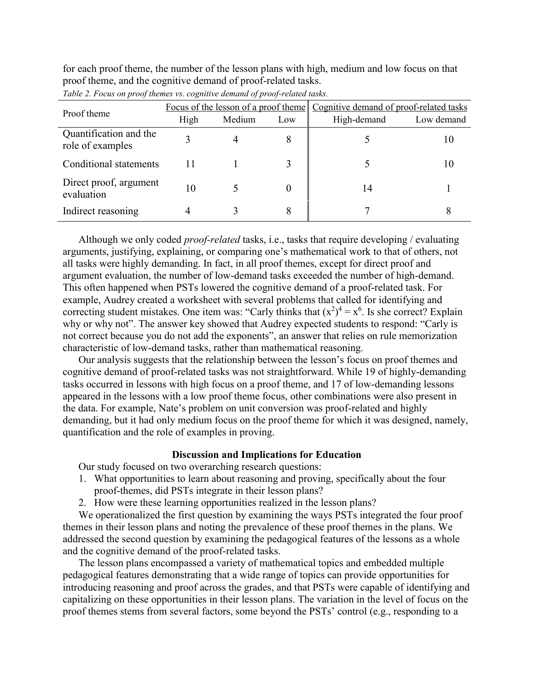for each proof theme, the number of the lesson plans with high, medium and low focus on that proof theme, and the cognitive demand of proof-related tasks.

| Proof theme                                | Focus of the lesson of a proof theme |        | Cognitive demand of proof-related tasks |             |            |
|--------------------------------------------|--------------------------------------|--------|-----------------------------------------|-------------|------------|
|                                            | High                                 | Medium | Low                                     | High-demand | Low demand |
| Quantification and the<br>role of examples |                                      |        | 8                                       |             | 10         |
| Conditional statements                     |                                      |        |                                         |             | 10         |
| Direct proof, argument<br>evaluation       | 10                                   |        |                                         | 14          |            |
| Indirect reasoning                         |                                      |        | 8                                       |             |            |

*Table 2. Focus on proof themes vs. cognitive demand of proof-related tasks.*

Although we only coded *proof-related* tasks, i.e., tasks that require developing / evaluating arguments, justifying, explaining, or comparing one's mathematical work to that of others, not all tasks were highly demanding. In fact, in all proof themes, except for direct proof and argument evaluation, the number of low-demand tasks exceeded the number of high-demand. This often happened when PSTs lowered the cognitive demand of a proof-related task. For example, Audrey created a worksheet with several problems that called for identifying and correcting student mistakes. One item was: "Carly thinks that  $(x^2)^4 = x^6$ . Is she correct? Explain why or why not". The answer key showed that Audrey expected students to respond: "Carly is not correct because you do not add the exponents", an answer that relies on rule memorization characteristic of low-demand tasks, rather than mathematical reasoning.

Our analysis suggests that the relationship between the lesson's focus on proof themes and cognitive demand of proof-related tasks was not straightforward. While 19 of highly-demanding tasks occurred in lessons with high focus on a proof theme, and 17 of low-demanding lessons appeared in the lessons with a low proof theme focus, other combinations were also present in the data. For example, Nate's problem on unit conversion was proof-related and highly demanding, but it had only medium focus on the proof theme for which it was designed, namely, quantification and the role of examples in proving.

# **Discussion and Implications for Education**

Our study focused on two overarching research questions:

- 1. What opportunities to learn about reasoning and proving, specifically about the four proof-themes, did PSTs integrate in their lesson plans?
- 2. How were these learning opportunities realized in the lesson plans?

We operationalized the first question by examining the ways PSTs integrated the four proof themes in their lesson plans and noting the prevalence of these proof themes in the plans. We addressed the second question by examining the pedagogical features of the lessons as a whole and the cognitive demand of the proof-related tasks.

The lesson plans encompassed a variety of mathematical topics and embedded multiple pedagogical features demonstrating that a wide range of topics can provide opportunities for introducing reasoning and proof across the grades, and that PSTs were capable of identifying and capitalizing on these opportunities in their lesson plans. The variation in the level of focus on the proof themes stems from several factors, some beyond the PSTs' control (e.g., responding to a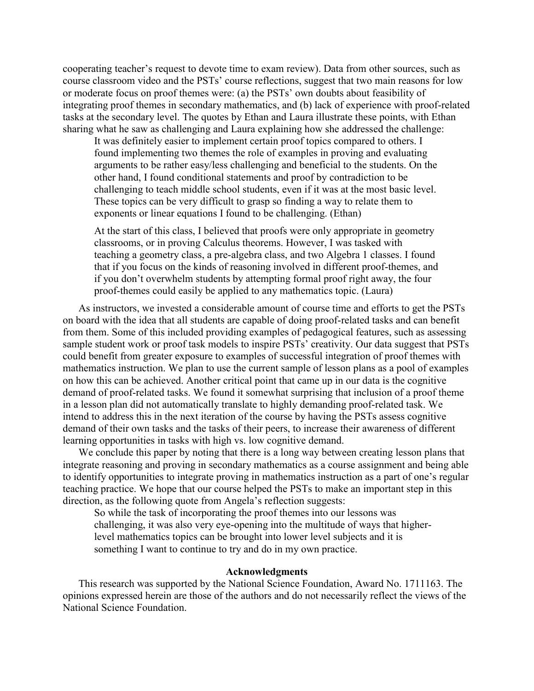cooperating teacher's request to devote time to exam review). Data from other sources, such as course classroom video and the PSTs' course reflections, suggest that two main reasons for low or moderate focus on proof themes were: (a) the PSTs' own doubts about feasibility of integrating proof themes in secondary mathematics, and (b) lack of experience with proof-related tasks at the secondary level. The quotes by Ethan and Laura illustrate these points, with Ethan sharing what he saw as challenging and Laura explaining how she addressed the challenge:

It was definitely easier to implement certain proof topics compared to others. I found implementing two themes the role of examples in proving and evaluating arguments to be rather easy/less challenging and beneficial to the students. On the other hand, I found conditional statements and proof by contradiction to be challenging to teach middle school students, even if it was at the most basic level. These topics can be very difficult to grasp so finding a way to relate them to exponents or linear equations I found to be challenging. (Ethan)

At the start of this class, I believed that proofs were only appropriate in geometry classrooms, or in proving Calculus theorems. However, I was tasked with teaching a geometry class, a pre-algebra class, and two Algebra 1 classes. I found that if you focus on the kinds of reasoning involved in different proof-themes, and if you don't overwhelm students by attempting formal proof right away, the four proof-themes could easily be applied to any mathematics topic. (Laura)

As instructors, we invested a considerable amount of course time and efforts to get the PSTs on board with the idea that all students are capable of doing proof-related tasks and can benefit from them. Some of this included providing examples of pedagogical features, such as assessing sample student work or proof task models to inspire PSTs' creativity. Our data suggest that PSTs could benefit from greater exposure to examples of successful integration of proof themes with mathematics instruction. We plan to use the current sample of lesson plans as a pool of examples on how this can be achieved. Another critical point that came up in our data is the cognitive demand of proof-related tasks. We found it somewhat surprising that inclusion of a proof theme in a lesson plan did not automatically translate to highly demanding proof-related task. We intend to address this in the next iteration of the course by having the PSTs assess cognitive demand of their own tasks and the tasks of their peers, to increase their awareness of different learning opportunities in tasks with high vs. low cognitive demand.

We conclude this paper by noting that there is a long way between creating lesson plans that integrate reasoning and proving in secondary mathematics as a course assignment and being able to identify opportunities to integrate proving in mathematics instruction as a part of one's regular teaching practice. We hope that our course helped the PSTs to make an important step in this direction, as the following quote from Angela's reflection suggests:

So while the task of incorporating the proof themes into our lessons was challenging, it was also very eye-opening into the multitude of ways that higherlevel mathematics topics can be brought into lower level subjects and it is something I want to continue to try and do in my own practice.

## **Acknowledgments**

This research was supported by the National Science Foundation, Award No. 1711163. The opinions expressed herein are those of the authors and do not necessarily reflect the views of the National Science Foundation.